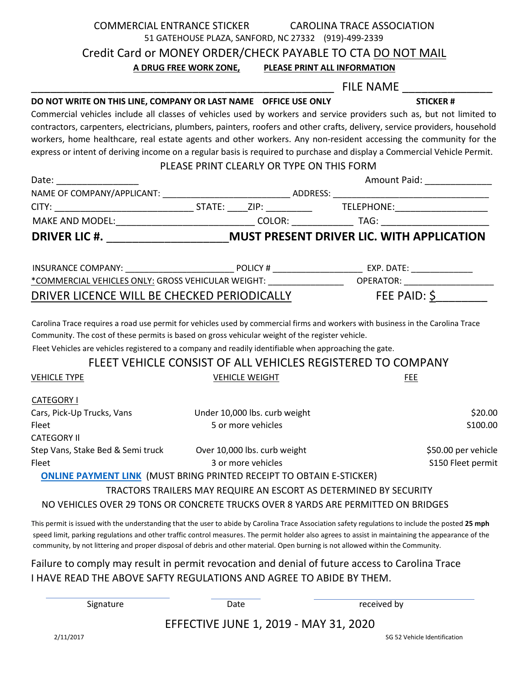| COMMERCIAL ENTRANCE STICKER CAROLINA TRACE ASSOCIATION                                                                                                                                                                                                                                                                                                                                                                                    |                                                      |  |                                                                   |                              |  |
|-------------------------------------------------------------------------------------------------------------------------------------------------------------------------------------------------------------------------------------------------------------------------------------------------------------------------------------------------------------------------------------------------------------------------------------------|------------------------------------------------------|--|-------------------------------------------------------------------|------------------------------|--|
|                                                                                                                                                                                                                                                                                                                                                                                                                                           | 51 GATEHOUSE PLAZA, SANFORD, NC 27332 (919)-499-2339 |  |                                                                   |                              |  |
| Credit Card or MONEY ORDER/CHECK PAYABLE TO CTA DO NOT MAIL                                                                                                                                                                                                                                                                                                                                                                               |                                                      |  |                                                                   |                              |  |
|                                                                                                                                                                                                                                                                                                                                                                                                                                           | A DRUG FREE WORK ZONE, PLEASE PRINT ALL INFORMATION  |  |                                                                   |                              |  |
|                                                                                                                                                                                                                                                                                                                                                                                                                                           |                                                      |  | FILE NAME _________                                               |                              |  |
|                                                                                                                                                                                                                                                                                                                                                                                                                                           |                                                      |  |                                                                   | <b>STICKER#</b>              |  |
| Commercial vehicles include all classes of vehicles used by workers and service providers such as, but not limited to                                                                                                                                                                                                                                                                                                                     |                                                      |  |                                                                   |                              |  |
| contractors, carpenters, electricians, plumbers, painters, roofers and other crafts, delivery, service providers, household                                                                                                                                                                                                                                                                                                               |                                                      |  |                                                                   |                              |  |
| workers, home healthcare, real estate agents and other workers. Any non-resident accessing the community for the<br>express or intent of deriving income on a regular basis is required to purchase and display a Commercial Vehicle Permit.                                                                                                                                                                                              |                                                      |  |                                                                   |                              |  |
|                                                                                                                                                                                                                                                                                                                                                                                                                                           | PLEASE PRINT CLEARLY OR TYPE ON THIS FORM            |  |                                                                   |                              |  |
| Date: the control of the control of the control of the control of the control of the control of the control of the control of the control of the control of the control of the control of the control of the control of the co                                                                                                                                                                                                            |                                                      |  |                                                                   | Amount Paid: _______________ |  |
|                                                                                                                                                                                                                                                                                                                                                                                                                                           |                                                      |  |                                                                   |                              |  |
|                                                                                                                                                                                                                                                                                                                                                                                                                                           |                                                      |  |                                                                   |                              |  |
|                                                                                                                                                                                                                                                                                                                                                                                                                                           |                                                      |  |                                                                   |                              |  |
| DRIVER LIC #. _____________________________MUST PRESENT DRIVER LIC. WITH APPLICATION                                                                                                                                                                                                                                                                                                                                                      |                                                      |  |                                                                   |                              |  |
|                                                                                                                                                                                                                                                                                                                                                                                                                                           |                                                      |  |                                                                   |                              |  |
|                                                                                                                                                                                                                                                                                                                                                                                                                                           |                                                      |  |                                                                   |                              |  |
|                                                                                                                                                                                                                                                                                                                                                                                                                                           |                                                      |  |                                                                   |                              |  |
| DRIVER LICENCE WILL BE CHECKED PERIODICALLY                                                                                                                                                                                                                                                                                                                                                                                               |                                                      |  |                                                                   | FEE PAID: $\frac{6}{2}$      |  |
| Carolina Trace requires a road use permit for vehicles used by commercial firms and workers with business in the Carolina Trace<br>Community. The cost of these permits is based on gross vehicular weight of the register vehicle.<br>Fleet Vehicles are vehicles registered to a company and readily identifiable when approaching the gate.<br>FLEET VEHICLE CONSIST OF ALL VEHICLES REGISTERED TO COMPANY                             |                                                      |  |                                                                   |                              |  |
| <b>VEHICLE TYPE</b>                                                                                                                                                                                                                                                                                                                                                                                                                       | <b>VEHICLE WEIGHT</b>                                |  |                                                                   | <b>FEE</b>                   |  |
|                                                                                                                                                                                                                                                                                                                                                                                                                                           |                                                      |  |                                                                   |                              |  |
| <b>CATEGORY I</b>                                                                                                                                                                                                                                                                                                                                                                                                                         |                                                      |  |                                                                   |                              |  |
| Cars, Pick-Up Trucks, Vans                                                                                                                                                                                                                                                                                                                                                                                                                | Under 10,000 lbs. curb weight                        |  |                                                                   | \$20.00                      |  |
| Fleet                                                                                                                                                                                                                                                                                                                                                                                                                                     | 5 or more vehicles                                   |  |                                                                   | S100.00                      |  |
| <b>CATEGORY II</b><br>Step Vans, Stake Bed & Semi truck                                                                                                                                                                                                                                                                                                                                                                                   | Over 10,000 lbs. curb weight                         |  |                                                                   | \$50.00 per vehicle          |  |
| Fleet                                                                                                                                                                                                                                                                                                                                                                                                                                     | 3 or more vehicles                                   |  |                                                                   | S150 Fleet permit            |  |
| <b>ONLINE PAYMENT LINK (MUST BRING PRINTED RECEIPT TO OBTAIN E-STICKER)</b>                                                                                                                                                                                                                                                                                                                                                               |                                                      |  |                                                                   |                              |  |
|                                                                                                                                                                                                                                                                                                                                                                                                                                           |                                                      |  | TRACTORS TRAILERS MAY REQUIRE AN ESCORT AS DETERMINED BY SECURITY |                              |  |
| NO VEHICLES OVER 29 TONS OR CONCRETE TRUCKS OVER 8 YARDS ARE PERMITTED ON BRIDGES                                                                                                                                                                                                                                                                                                                                                         |                                                      |  |                                                                   |                              |  |
| This permit is issued with the understanding that the user to abide by Carolina Trace Association safety regulations to include the posted 25 mph<br>speed limit, parking regulations and other traffic control measures. The permit holder also agrees to assist in maintaining the appearance of the<br>community, by not littering and proper disposal of debris and other material. Open burning is not allowed within the Community. |                                                      |  |                                                                   |                              |  |
| Failure to comply may result in permit revocation and denial of future access to Carolina Trace                                                                                                                                                                                                                                                                                                                                           |                                                      |  |                                                                   |                              |  |
| I HAVE READ THE ABOVE SAFTY REGULATIONS AND AGREE TO ABIDE BY THEM.                                                                                                                                                                                                                                                                                                                                                                       |                                                      |  |                                                                   |                              |  |
|                                                                                                                                                                                                                                                                                                                                                                                                                                           |                                                      |  |                                                                   |                              |  |

| Signature |  |  |  |
|-----------|--|--|--|
|           |  |  |  |

Date received by

EFFECTIVE JUNE 1, 2019 - MAY 31, 2020